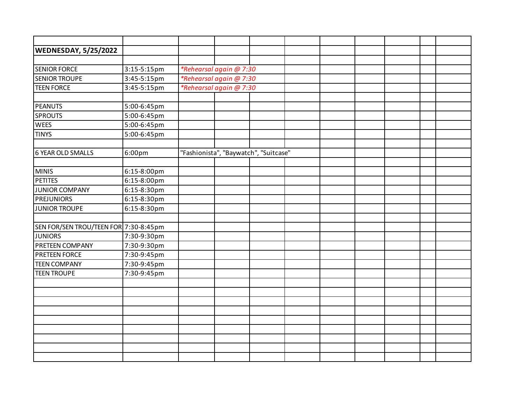| <b>WEDNESDAY, 5/25/2022</b>           |             |                                       |  |  |  |  |
|---------------------------------------|-------------|---------------------------------------|--|--|--|--|
|                                       |             |                                       |  |  |  |  |
| <b>SENIOR FORCE</b>                   | 3:15-5:15pm | *Rehearsal again @ 7:30               |  |  |  |  |
| <b>SENIOR TROUPE</b>                  | 3:45-5:15pm | *Rehearsal again @ 7:30               |  |  |  |  |
| <b>TEEN FORCE</b>                     | 3:45-5:15pm | *Rehearsal again @ 7:30               |  |  |  |  |
|                                       |             |                                       |  |  |  |  |
| <b>PEANUTS</b>                        | 5:00-6:45pm |                                       |  |  |  |  |
| <b>SPROUTS</b>                        | 5:00-6:45pm |                                       |  |  |  |  |
| <b>WEES</b>                           | 5:00-6:45pm |                                       |  |  |  |  |
| <b>TINYS</b>                          | 5:00-6:45pm |                                       |  |  |  |  |
|                                       |             |                                       |  |  |  |  |
| 6 YEAR OLD SMALLS                     | 6:00pm      | "Fashionista", "Baywatch", "Suitcase" |  |  |  |  |
|                                       |             |                                       |  |  |  |  |
| <b>MINIS</b>                          | 6:15-8:00pm |                                       |  |  |  |  |
| <b>PETITES</b>                        | 6:15-8:00pm |                                       |  |  |  |  |
| <b>JUNIOR COMPANY</b>                 | 6:15-8:30pm |                                       |  |  |  |  |
| <b>PREJUNIORS</b>                     | 6:15-8:30pm |                                       |  |  |  |  |
| <b>JUNIOR TROUPE</b>                  | 6:15-8:30pm |                                       |  |  |  |  |
|                                       |             |                                       |  |  |  |  |
| SEN FOR/SEN TROU/TEEN FOR 7:30-8:45pm |             |                                       |  |  |  |  |
| <b>JUNIORS</b>                        | 7:30-9:30pm |                                       |  |  |  |  |
| PRETEEN COMPANY                       | 7:30-9:30pm |                                       |  |  |  |  |
| <b>PRETEEN FORCE</b>                  | 7:30-9:45pm |                                       |  |  |  |  |
| <b>TEEN COMPANY</b>                   | 7:30-9:45pm |                                       |  |  |  |  |
| <b>TEEN TROUPE</b>                    | 7:30-9:45pm |                                       |  |  |  |  |
|                                       |             |                                       |  |  |  |  |
|                                       |             |                                       |  |  |  |  |
|                                       |             |                                       |  |  |  |  |
|                                       |             |                                       |  |  |  |  |
|                                       |             |                                       |  |  |  |  |
|                                       |             |                                       |  |  |  |  |
|                                       |             |                                       |  |  |  |  |
|                                       |             |                                       |  |  |  |  |
|                                       |             |                                       |  |  |  |  |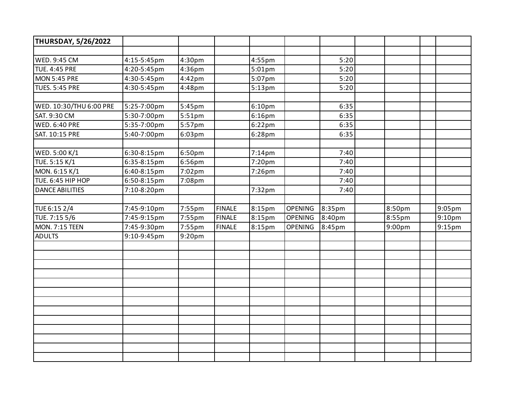| <b>THURSDAY, 5/26/2022</b> |             |           |               |                    |                |        |        |        |
|----------------------------|-------------|-----------|---------------|--------------------|----------------|--------|--------|--------|
|                            |             |           |               |                    |                |        |        |        |
| WED. 9:45 CM               | 4:15-5:45pm | 4:30pm    |               | 4:55pm             |                | 5:20   |        |        |
| <b>TUE. 4:45 PRE</b>       | 4:20-5:45pm | 4:36pm    |               | 5:01pm             |                | 5:20   |        |        |
| MON 5:45 PRE               | 4:30-5:45pm | $4:42$ pm |               | 5:07pm             |                | 5:20   |        |        |
| <b>TUES. 5:45 PRE</b>      | 4:30-5:45pm | 4:48pm    |               | 5:13pm             |                | 5:20   |        |        |
|                            |             |           |               |                    |                |        |        |        |
| WED. 10:30/THU 6:00 PRE    | 5:25-7:00pm | 5:45pm    |               | 6:10 <sub>pm</sub> |                | 6:35   |        |        |
| SAT. 9:30 CM               | 5:30-7:00pm | 5:51pm    |               | 6:16pm             |                | 6:35   |        |        |
| <b>WED. 6:40 PRE</b>       | 5:35-7:00pm | 5:57pm    |               | 6:22pm             |                | 6:35   |        |        |
| SAT. 10:15 PRE             | 5:40-7:00pm | $6:03$ pm |               | 6:28pm             |                | 6:35   |        |        |
|                            |             |           |               |                    |                |        |        |        |
| WED. 5:00 K/1              | 6:30-8:15pm | 6:50pm    |               | $7:14$ pm          |                | 7:40   |        |        |
| TUE. 5:15 K/1              | 6:35-8:15pm | 6:56pm    |               | 7:20pm             |                | 7:40   |        |        |
| MON. 6:15 K/1              | 6:40-8:15pm | $7:02$ pm |               | 7:26pm             |                | 7:40   |        |        |
| TUE. 6:45 HIP HOP          | 6:50-8:15pm | 7:08pm    |               |                    |                | 7:40   |        |        |
| <b>DANCE ABILITIES</b>     | 7:10-8:20pm |           |               | 7:32pm             |                | 7:40   |        |        |
|                            |             |           |               |                    |                |        |        |        |
| TUE 6:15 2/4               | 7:45-9:10pm | 7:55pm    | <b>FINALE</b> | 8:15pm             | <b>OPENING</b> | 8:35pm | 8:50pm | 9:05pm |
| TUE. 7:15 5/6              | 7:45-9:15pm | 7:55pm    | <b>FINALE</b> | 8:15pm             | <b>OPENING</b> | 8:40pm | 8:55pm | 9:10pm |
| <b>MON. 7:15 TEEN</b>      | 7:45-9:30pm | 7:55pm    | <b>FINALE</b> | 8:15pm             | <b>OPENING</b> | 8:45pm | 9:00pm | 9:15pm |
| <b>ADULTS</b>              | 9:10-9:45pm | 9:20pm    |               |                    |                |        |        |        |
|                            |             |           |               |                    |                |        |        |        |
|                            |             |           |               |                    |                |        |        |        |
|                            |             |           |               |                    |                |        |        |        |
|                            |             |           |               |                    |                |        |        |        |
|                            |             |           |               |                    |                |        |        |        |
|                            |             |           |               |                    |                |        |        |        |
|                            |             |           |               |                    |                |        |        |        |
|                            |             |           |               |                    |                |        |        |        |
|                            |             |           |               |                    |                |        |        |        |
|                            |             |           |               |                    |                |        |        |        |
|                            |             |           |               |                    |                |        |        |        |
|                            |             |           |               |                    |                |        |        |        |
|                            |             |           |               |                    |                |        |        |        |